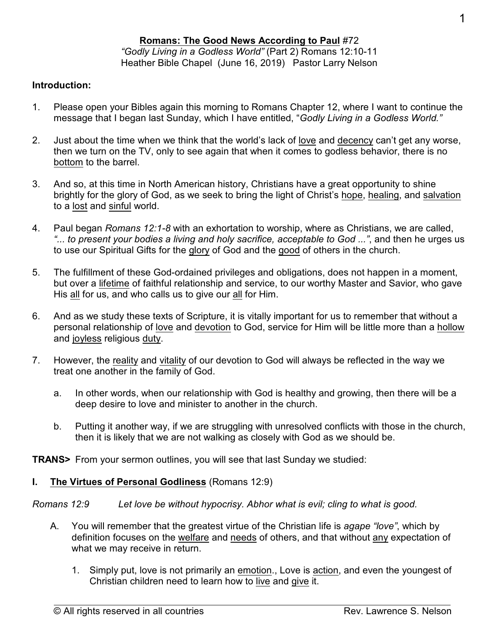$\overline{a}$ 

#### **Romans: The Good News According to Paul** #72 *"Godly Living in a Godless World"* (Part 2) Romans 12:10-11 Heather Bible Chapel (June 16, 2019) Pastor Larry Nelson

#### **Introduction:**

- 1. Please open your Bibles again this morning to Romans Chapter 12, where I want to continue the message that I began last Sunday, which I have entitled, "*Godly Living in a Godless World."*
- 2. Just about the time when we think that the world's lack of love and decency can't get any worse, then we turn on the TV, only to see again that when it comes to godless behavior, there is no bottom to the barrel.
- 3. And so, at this time in North American history, Christians have a great opportunity to shine brightly for the glory of God, as we seek to bring the light of Christ's hope, healing, and salvation to a lost and sinful world.
- 4. Paul began *Romans 12:1-8* with an exhortation to worship, where as Christians, we are called, *"... to present your bodies a living and holy sacrifice, acceptable to God ..."*, and then he urges us to use our Spiritual Gifts for the glory of God and the good of others in the church.
- 5. The fulfillment of these God-ordained privileges and obligations, does not happen in a moment, but over a lifetime of faithful relationship and service, to our worthy Master and Savior, who gave His all for us, and who calls us to give our all for Him.
- 6. And as we study these texts of Scripture, it is vitally important for us to remember that without a personal relationship of love and devotion to God, service for Him will be little more than a hollow and joyless religious duty.
- 7. However, the reality and vitality of our devotion to God will always be reflected in the way we treat one another in the family of God.
	- a. In other words, when our relationship with God is healthy and growing, then there will be a deep desire to love and minister to another in the church.
	- b. Putting it another way, if we are struggling with unresolved conflicts with those in the church, then it is likely that we are not walking as closely with God as we should be.

**TRANS>** From your sermon outlines, you will see that last Sunday we studied:

#### **I. The Virtues of Personal Godliness** (Romans 12:9)

*Romans 12:9 Let love be without hypocrisy. Abhor what is evil; cling to what is good.*

- A. You will remember that the greatest virtue of the Christian life is *agape "love"*, which by definition focuses on the welfare and needs of others, and that without any expectation of what we may receive in return.
	- 1. Simply put, love is not primarily an emotion., Love is action, and even the youngest of Christian children need to learn how to live and give it.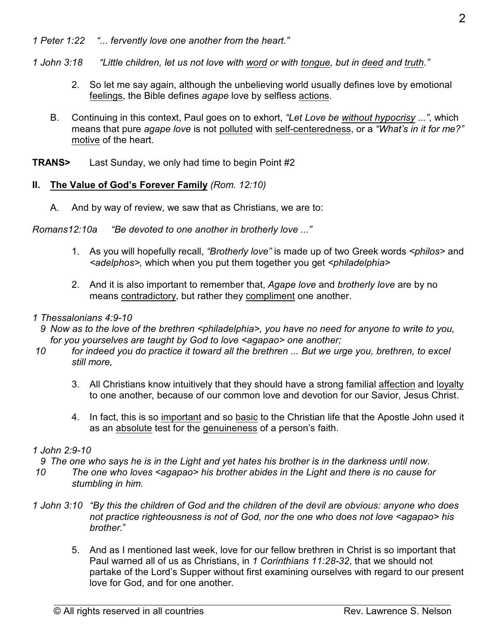*1 Peter 1:22 "... fervently love one another from the heart."*

*1 John 3:18 "Little children, let us not love with word or with tongue, but in deed and truth."*

- 2. So let me say again, although the unbelieving world usually defines love by emotional feelings, the Bible defines *agape* love by selfless actions.
- B. Continuing in this context, Paul goes on to exhort, *"Let Love be without hypocrisy ..."*, which means that pure *agape love* is not polluted with self-centeredness, or a *"What's in it for me?"* motive of the heart.

**TRANS>** Last Sunday, we only had time to begin Point #2

## **II. The Value of God's Forever Family** *(Rom. 12:10)*

A. And by way of review, we saw that as Christians, we are to:

*Romans12:10a "Be devoted to one another in brotherly love ..."*

- 1. As you will hopefully recall, *"Brotherly love"* is made up of two Greek words *<philos>* and *<adelphos>,* which when you put them together you get *<philadelphia>*
- 2. And it is also important to remember that, *Agape love* and *brotherly love* are by no means contradictory, but rather they compliment one another.

# *1 Thessalonians 4:9-10*

- *9 Now as to the love of the brethren <philadelphia>, you have no need for anyone to write to you, for you yourselves are taught by God to love <agapao> one another;*
- *10 for indeed you do practice it toward all the brethren ... But we urge you, brethren, to excel still more,*
	- 3. All Christians know intuitively that they should have a strong familial affection and loyalty to one another, because of our common love and devotion for our Savior, Jesus Christ.
	- 4. In fact, this is so important and so basic to the Christian life that the Apostle John used it as an absolute test for the genuineness of a person's faith.

## *1 John 2:9-10*

 *9 The one who says he is in the Light and yet hates his brother is in the darkness until now.*

- *10 The one who loves <agapao> his brother abides in the Light and there is no cause for stumbling in him.*
- *1 John 3:10 "By this the children of God and the children of the devil are obvious: anyone who does not practice righteousness is not of God, nor the one who does not love <agapao> his brother.*"
	- 5. And as I mentioned last week, love for our fellow brethren in Christ is so important that Paul warned all of us as Christians, in *1 Corinthians 11:28-32*, that we should not partake of the Lord's Supper without first examining ourselves with regard to our present love for God, and for one another.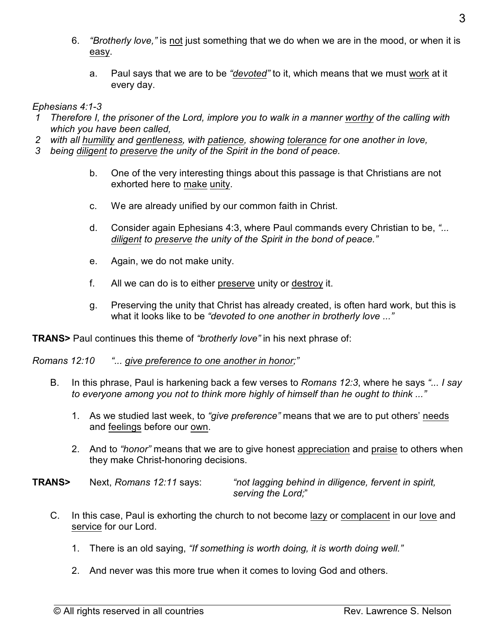- 6. *"Brotherly love,"* is not just something that we do when we are in the mood, or when it is easy.
	- a. Paul says that we are to be *"devoted"* to it, which means that we must work at it every day.

#### *Ephesians 4:1-3*

- *1 Therefore I, the prisoner of the Lord, implore you to walk in a manner worthy of the calling with which you have been called,*
- *2 with all humility and gentleness, with patience, showing tolerance for one another in love,*
- *3 being diligent to preserve the unity of the Spirit in the bond of peace.*
	- b. One of the very interesting things about this passage is that Christians are not exhorted here to make unity.
	- c. We are already unified by our common faith in Christ.
	- d. Consider again Ephesians 4:3, where Paul commands every Christian to be, *"... diligent to preserve the unity of the Spirit in the bond of peace."*
	- e. Again, we do not make unity.
	- f. All we can do is to either preserve unity or destroy it.
	- g. Preserving the unity that Christ has already created, is often hard work, but this is what it looks like to be *"devoted to one another in brotherly love ..."*

**TRANS>** Paul continues this theme of *"brotherly love"* in his next phrase of:

*Romans 12:10 "... give preference to one another in honor;"*

- B. In this phrase, Paul is harkening back a few verses to *Romans 12:3*, where he says *"... I say to everyone among you not to think more highly of himself than he ought to think ..."*
	- 1. As we studied last week, to *"give preference"* means that we are to put others' needs and feelings before our own.
	- 2. And to *"honor"* means that we are to give honest appreciation and praise to others when they make Christ-honoring decisions.

**TRANS>** Next, *Romans 12:11* says: *"not lagging behind in diligence, fervent in spirit, serving the Lord;*"

- C. In this case, Paul is exhorting the church to not become lazy or complacent in our love and service for our Lord.
	- 1. There is an old saying, *"If something is worth doing, it is worth doing well."*
	- 2. And never was this more true when it comes to loving God and others.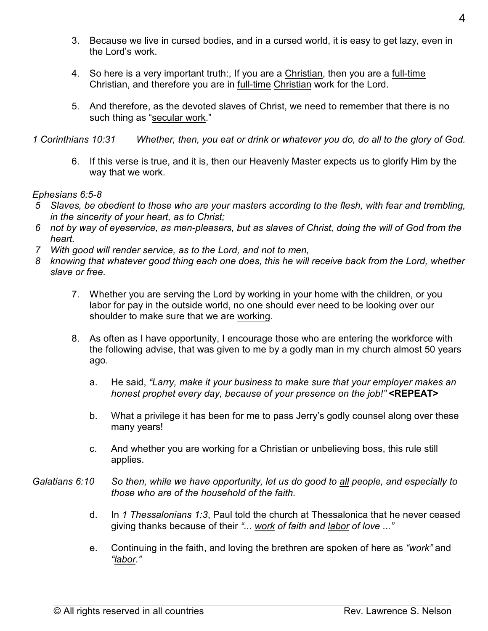- 3. Because we live in cursed bodies, and in a cursed world, it is easy to get lazy, even in the Lord's work.
- 4. So here is a very important truth:, If you are a Christian, then you are a full-time Christian, and therefore you are in full-time Christian work for the Lord.
- 5. And therefore, as the devoted slaves of Christ, we need to remember that there is no such thing as "secular work."
- *1 Corinthians 10:31 Whether, then, you eat or drink or whatever you do, do all to the glory of God.*
	- 6. If this verse is true, and it is, then our Heavenly Master expects us to glorify Him by the way that we work.

#### *Ephesians 6:5-8*

- *5 Slaves, be obedient to those who are your masters according to the flesh, with fear and trembling, in the sincerity of your heart, as to Christ;*
- *6 not by way of eyeservice, as men-pleasers, but as slaves of Christ, doing the will of God from the heart.*
- *7 With good will render service, as to the Lord, and not to men,*
- *8 knowing that whatever good thing each one does, this he will receive back from the Lord, whether slave or free.*
	- 7. Whether you are serving the Lord by working in your home with the children, or you labor for pay in the outside world, no one should ever need to be looking over our shoulder to make sure that we are working.
	- 8. As often as I have opportunity, I encourage those who are entering the workforce with the following advise, that was given to me by a godly man in my church almost 50 years ago.
		- a. He said, *"Larry, make it your business to make sure that your employer makes an honest prophet every day, because of your presence on the job!"* **<REPEAT>**
		- b. What a privilege it has been for me to pass Jerry's godly counsel along over these many years!
		- c. And whether you are working for a Christian or unbelieving boss, this rule still applies.
- *Galatians 6:10 So then, while we have opportunity, let us do good to all people, and especially to those who are of the household of the faith.*
	- d. In *1 Thessalonians 1:3*, Paul told the church at Thessalonica that he never ceased giving thanks because of their *"... work of faith and labor of love ..."*
	- e. Continuing in the faith, and loving the brethren are spoken of here as *"work"* and *"labor."*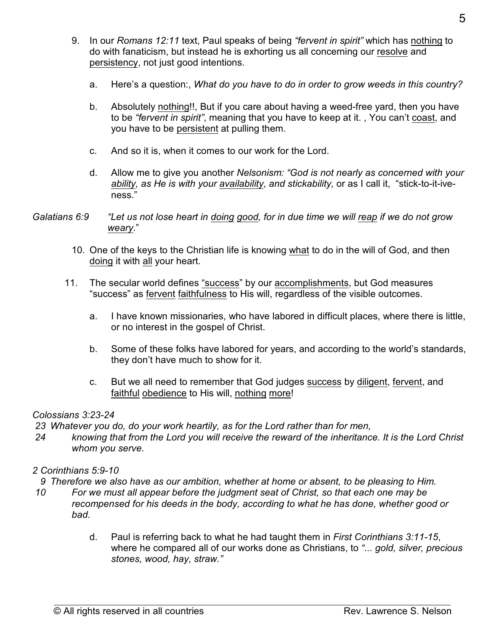- 9. In our *Romans 12:11* text, Paul speaks of being *"fervent in spirit"* which has nothing to do with fanaticism, but instead he is exhorting us all concerning our resolve and persistency, not just good intentions.
	- a. Here's a question:, *What do you have to do in order to grow weeds in this country?*
	- b. Absolutely nothing!!, But if you care about having a weed-free yard, then you have to be *"fervent in spirit"*, meaning that you have to keep at it. , You can't coast, and you have to be persistent at pulling them.
	- c. And so it is, when it comes to our work for the Lord.
	- d. Allow me to give you another *Nelsonism: "God is not nearly as concerned with your ability, as He is with your availability, and stickability,* or as I call it, "stick-to-it-iveness."
- *Galatians 6:9 "Let us not lose heart in doing good, for in due time we will reap if we do not grow weary.*"
	- 10. One of the keys to the Christian life is knowing what to do in the will of God, and then doing it with all your heart.
	- 11. The secular world defines "success" by our accomplishments, but God measures "success" as fervent faithfulness to His will, regardless of the visible outcomes.
		- a. I have known missionaries, who have labored in difficult places, where there is little, or no interest in the gospel of Christ.
		- b. Some of these folks have labored for years, and according to the world's standards, they don't have much to show for it.
		- c. But we all need to remember that God judges success by diligent, fervent, and faithful obedience to His will, nothing more!

## *Colossians 3:23-24*

- *23 Whatever you do, do your work heartily, as for the Lord rather than for men,*
- *24 knowing that from the Lord you will receive the reward of the inheritance. It is the Lord Christ whom you serve.*

## *2 Corinthians 5:9-10*

 *9 Therefore we also have as our ambition, whether at home or absent, to be pleasing to Him.*

- *10 For we must all appear before the judgment seat of Christ, so that each one may be recompensed for his deeds in the body, according to what he has done, whether good or bad.*
	- d. Paul is referring back to what he had taught them in *First Corinthians 3:11-15*, where he compared all of our works done as Christians, to *"... gold, silver, precious stones, wood, hay, straw."*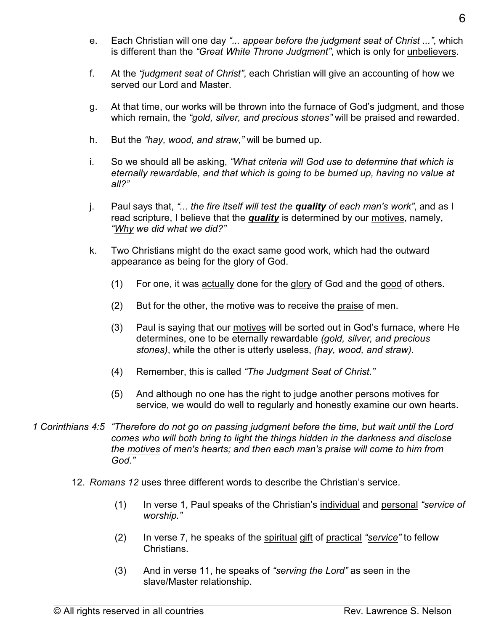- e. Each Christian will one day *"... appear before the judgment seat of Christ ..."*, which is different than the *"Great White Throne Judgment"*, which is only for unbelievers.
- f. At the *"judgment seat of Christ"*, each Christian will give an accounting of how we served our Lord and Master.
- g. At that time, our works will be thrown into the furnace of God's judgment, and those which remain, the *"gold, silver, and precious stones"* will be praised and rewarded.
- h. But the *"hay, wood, and straw,"* will be burned up.
- i. So we should all be asking, *"What criteria will God use to determine that which is eternally rewardable, and that which is going to be burned up, having no value at all?"*
- j. Paul says that, *"... the fire itself will test the quality of each man's work"*, and as I read scripture, I believe that the *quality* is determined by our motives, namely, *"Why we did what we did?"*
- k. Two Christians might do the exact same good work, which had the outward appearance as being for the glory of God.
	- (1) For one, it was actually done for the glory of God and the good of others.
	- (2) But for the other, the motive was to receive the praise of men.
	- (3) Paul is saying that our motives will be sorted out in God's furnace, where He determines, one to be eternally rewardable *(gold, silver, and precious stones)*, while the other is utterly useless, *(hay, wood, and straw)*.
	- (4) Remember, this is called *"The Judgment Seat of Christ."*
	- (5) And although no one has the right to judge another persons motives for service, we would do well to regularly and honestly examine our own hearts.
- *1 Corinthians 4:5 "Therefore do not go on passing judgment before the time, but wait until the Lord comes who will both bring to light the things hidden in the darkness and disclose the motives of men's hearts; and then each man's praise will come to him from God."*
	- 12. *Romans 12* uses three different words to describe the Christian's service.
		- (1) In verse 1, Paul speaks of the Christian's individual and personal *"service of worship."*
		- (2) In verse 7, he speaks of the spiritual gift of practical *"service"* to fellow Christians.
		- (3) And in verse 11, he speaks of *"serving the Lord"* as seen in the slave/Master relationship.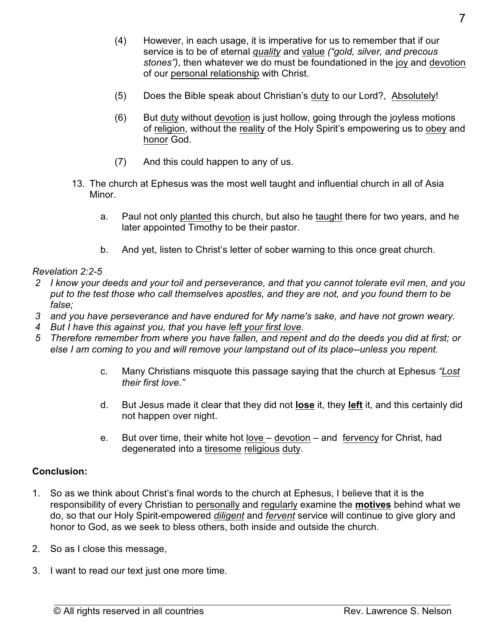- (4) However, in each usage, it is imperative for us to remember that if our service is to be of eternal *quality* and value *("gold, silver, and precous stones")*, then whatever we do must be foundationed in the joy and devotion of our personal relationship with Christ.
- (5) Does the Bible speak about Christian's duty to our Lord?, Absolutely!
- (6) But duty without devotion is just hollow, going through the joyless motions of religion, without the reality of the Holy Spirit's empowering us to obey and honor God.
- (7) And this could happen to any of us.
- 13. The church at Ephesus was the most well taught and influential church in all of Asia Minor.
	- a. Paul not only planted this church, but also he taught there for two years, and he later appointed Timothy to be their pastor.
	- b. And yet, listen to Christ's letter of sober warning to this once great church.

#### *Revelation 2:2-5*

- *2 I know your deeds and your toil and perseverance, and that you cannot tolerate evil men, and you put to the test those who call themselves apostles, and they are not, and you found them to be false;*
- *3 and you have perseverance and have endured for My name's sake, and have not grown weary.*
- *4 But I have this against you, that you have left your first love.*
- *5 Therefore remember from where you have fallen, and repent and do the deeds you did at first; or else I am coming to you and will remove your lampstand out of its place--unless you repent.*
	- c. Many Christians misquote this passage saying that the church at Ephesus *"Lost their first love."*
	- d. But Jesus made it clear that they did not **lose** it, they **left** it, and this certainly did not happen over night.
	- e. But over time, their white hot love devotion and fervency for Christ, had degenerated into a tiresome religious duty.

#### **Conclusion:**

- 1. So as we think about Christ's final words to the church at Ephesus, I believe that it is the responsibility of every Christian to personally and regularly examine the **motives** behind what we do, so that our Holy Spirit-empowered *diligent* and *fervent* service will continue to give glory and honor to God, as we seek to bless others, both inside and outside the church.
- 2. So as I close this message,
- 3. I want to read our text just one more time.